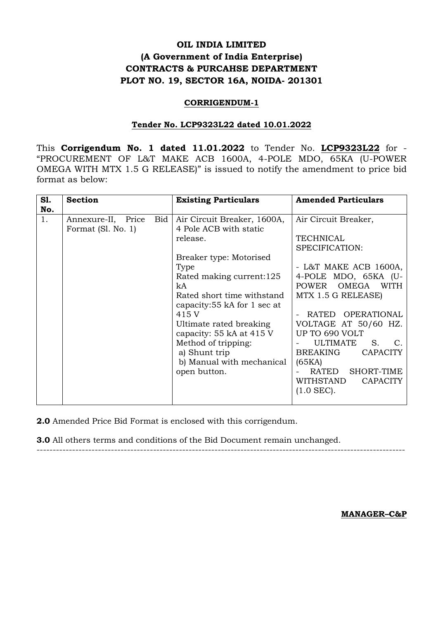# **OIL INDIA LIMITED (A Government of India Enterprise) CONTRACTS & PURCAHSE DEPARTMENT PLOT NO. 19, SECTOR 16A, NOIDA- 201301**

## **CORRIGENDUM-1**

## **Tender No. LCP9323L22 dated 10.01.2022**

This **Corrigendum No. 1 dated 11.01.2022** to Tender No. **LCP9323L22** for - "PROCUREMENT OF L&T MAKE ACB 1600A, 4-POLE MDO, 65KA (U-POWER OMEGA WITH MTX 1.5 G RELEASE)" is issued to notify the amendment to price bid format as below:

| <b>S1.</b><br>No. | <b>Section</b>                                  | <b>Existing Particulars</b>                                                                                                                                                                                                                                                                                                                              | <b>Amended Particulars</b>                                                                                                                                                                                                                                                                                                                                                                  |
|-------------------|-------------------------------------------------|----------------------------------------------------------------------------------------------------------------------------------------------------------------------------------------------------------------------------------------------------------------------------------------------------------------------------------------------------------|---------------------------------------------------------------------------------------------------------------------------------------------------------------------------------------------------------------------------------------------------------------------------------------------------------------------------------------------------------------------------------------------|
| 1.                | Annexure-II, Price<br>Bid<br>Format (Sl. No. 1) | Air Circuit Breaker, 1600A,<br>4 Pole ACB with static<br>release.<br>Breaker type: Motorised<br>Type<br>Rated making current:125<br>kA<br>Rated short time withstand<br>capacity:55 kA for 1 sec at<br>415 V<br>Ultimate rated breaking<br>capacity: 55 kA at 415 V<br>Method of tripping:<br>a) Shunt trip<br>b) Manual with mechanical<br>open button. | Air Circuit Breaker,<br><b>TECHNICAL</b><br>SPECIFICATION:<br>- L&T MAKE ACB $1600A$ ,<br>4-POLE MDO, 65KA (U-<br>OMEGA<br><b>POWER</b><br><b>WITH</b><br>MTX 1.5 G RELEASE)<br>RATED OPERATIONAL<br>VOLTAGE AT 50/60 HZ.<br>UP TO 690 VOLT<br><b>ULTIMATE</b><br>S.<br><b>BREAKING</b><br><b>CAPACITY</b><br>(65KA)<br>RATED<br>SHORT-TIME<br>WITHSTAND<br><b>CAPACITY</b><br>$(1.0$ SEC). |

**2.0** Amended Price Bid Format is enclosed with this corrigendum.

**3.0** All others terms and conditions of the Bid Document remain unchanged. ------------------------------------------------------------------------------------------------------------------

**MANAGER–C&P**